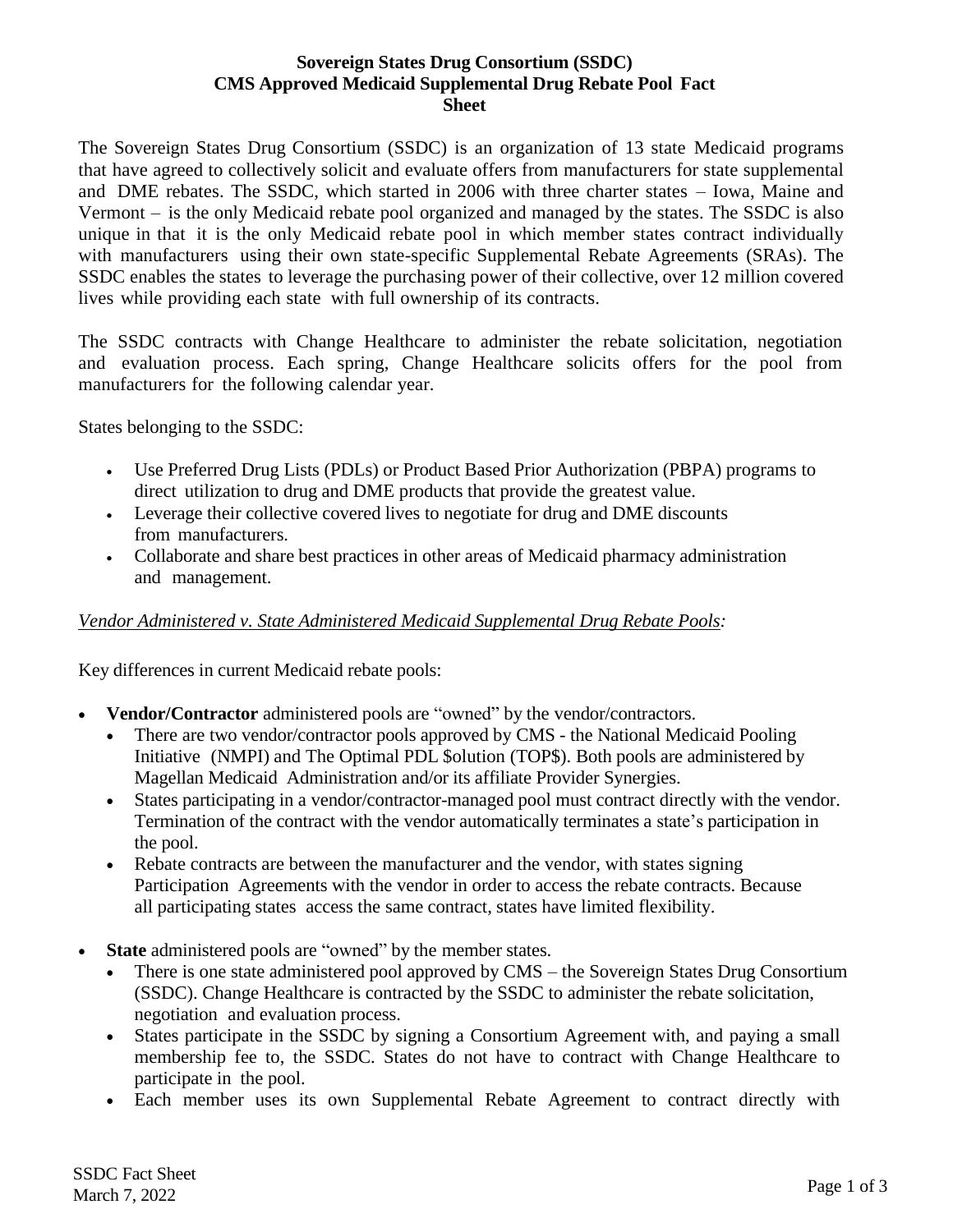### **Sovereign States Drug Consortium (SSDC) CMS Approved Medicaid Supplemental Drug Rebate Pool Fact Sheet**

The Sovereign States Drug Consortium (SSDC) is an organization of 13 state Medicaid programs that have agreed to collectively solicit and evaluate offers from manufacturers for state supplemental and DME rebates. The SSDC, which started in 2006 with three charter states – Iowa, Maine and Vermont – is the only Medicaid rebate pool organized and managed by the states. The SSDC is also unique in that it is the only Medicaid rebate pool in which member states contract individually with manufacturers using their own state-specific Supplemental Rebate Agreements (SRAs). The SSDC enables the states to leverage the purchasing power of their collective, over 12 million covered lives while providing each state with full ownership of its contracts.

The SSDC contracts with Change Healthcare to administer the rebate solicitation, negotiation and evaluation process. Each spring, Change Healthcare solicits offers for the pool from manufacturers for the following calendar year.

States belonging to the SSDC:

- Use Preferred Drug Lists (PDLs) or Product Based Prior Authorization (PBPA) programs to direct utilization to drug and DME products that provide the greatest value.
- Leverage their collective covered lives to negotiate for drug and DME discounts from manufacturers.
- Collaborate and share best practices in other areas of Medicaid pharmacy administration and management.

## *Vendor Administered v. State Administered Medicaid Supplemental Drug Rebate Pools:*

Key differences in current Medicaid rebate pools:

- **Vendor/Contractor** administered pools are "owned" by the vendor/contractors.
	- There are two vendor/contractor pools approved by CMS the National Medicaid Pooling Initiative (NMPI) and The Optimal PDL \$olution (TOP\$). Both pools are administered by Magellan Medicaid Administration and/or its affiliate Provider Synergies.
	- States participating in a vendor/contractor-managed pool must contract directly with the vendor. Termination of the contract with the vendor automatically terminates a state's participation in the pool.
	- Rebate contracts are between the manufacturer and the vendor, with states signing Participation Agreements with the vendor in order to access the rebate contracts. Because all participating states access the same contract, states have limited flexibility.
- **State** administered pools are "owned" by the member states.
	- There is one state administered pool approved by CMS the Sovereign States Drug Consortium (SSDC). Change Healthcare is contracted by the SSDC to administer the rebate solicitation, negotiation and evaluation process.
	- States participate in the SSDC by signing a Consortium Agreement with, and paying a small membership fee to, the SSDC. States do not have to contract with Change Healthcare to participate in the pool.
	- Each member uses its own Supplemental Rebate Agreement to contract directly with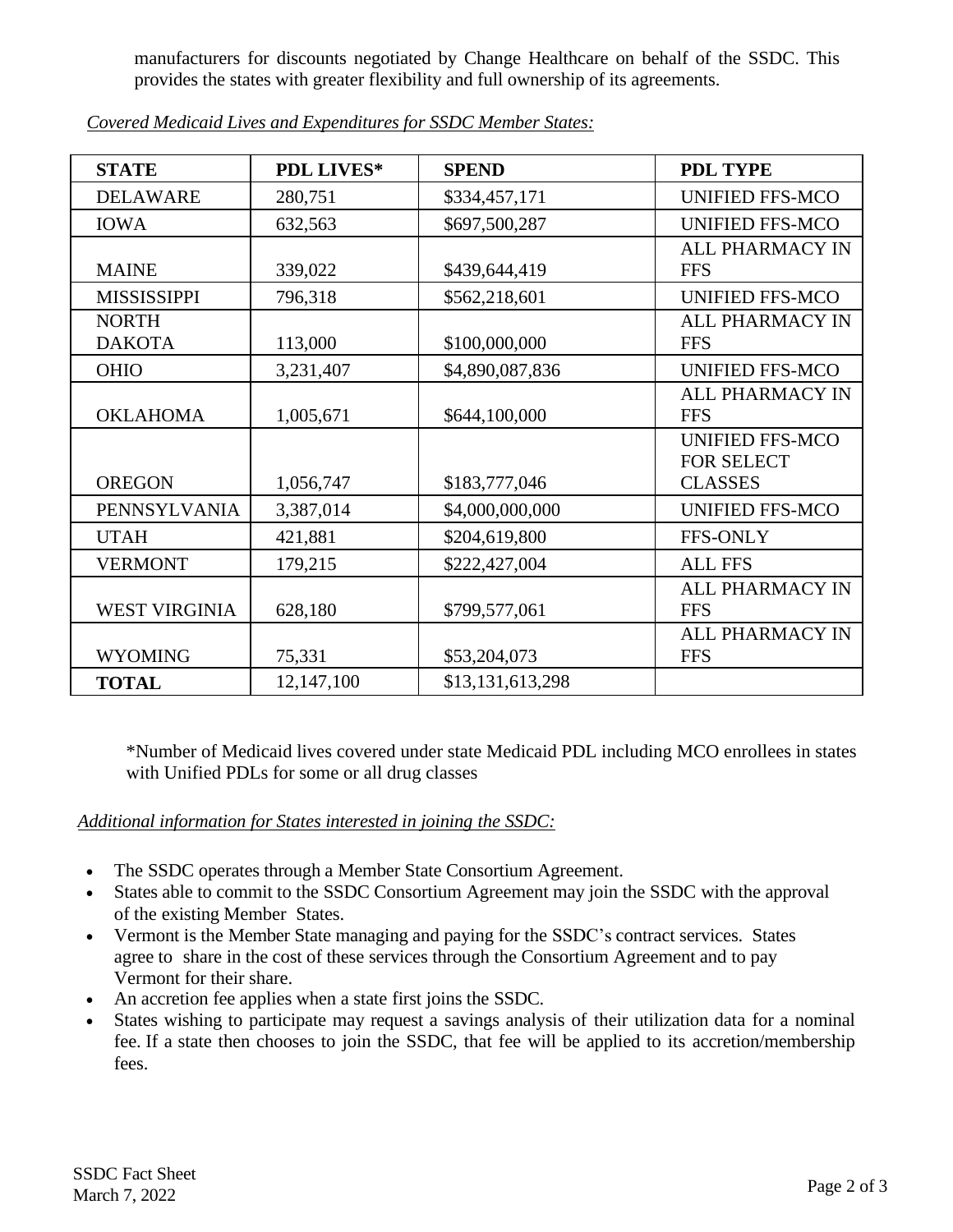manufacturers for discounts negotiated by Change Healthcare on behalf of the SSDC. This provides the states with greater flexibility and full ownership of its agreements.

| <b>STATE</b>                  | <b>PDL LIVES*</b> | <b>SPEND</b>     | <b>PDL TYPE</b>                                               |
|-------------------------------|-------------------|------------------|---------------------------------------------------------------|
| <b>DELAWARE</b>               | 280,751           | \$334,457,171    | <b>UNIFIED FFS-MCO</b>                                        |
| <b>IOWA</b>                   | 632,563           | \$697,500,287    | <b>UNIFIED FFS-MCO</b>                                        |
| <b>MAINE</b>                  | 339,022           | \$439,644,419    | <b>ALL PHARMACY IN</b><br><b>FFS</b>                          |
| <b>MISSISSIPPI</b>            | 796,318           | \$562,218,601    | <b>UNIFIED FFS-MCO</b>                                        |
| <b>NORTH</b><br><b>DAKOTA</b> | 113,000           | \$100,000,000    | <b>ALL PHARMACY IN</b><br><b>FFS</b>                          |
| <b>OHIO</b>                   | 3,231,407         | \$4,890,087,836  | <b>UNIFIED FFS-MCO</b>                                        |
| <b>OKLAHOMA</b>               | 1,005,671         | \$644,100,000    | <b>ALL PHARMACY IN</b><br><b>FFS</b>                          |
| <b>OREGON</b>                 | 1,056,747         | \$183,777,046    | <b>UNIFIED FFS-MCO</b><br><b>FOR SELECT</b><br><b>CLASSES</b> |
| PENNSYLVANIA                  | 3,387,014         | \$4,000,000,000  | <b>UNIFIED FFS-MCO</b>                                        |
| <b>UTAH</b>                   | 421,881           | \$204,619,800    | <b>FFS-ONLY</b>                                               |
| <b>VERMONT</b>                | 179,215           | \$222,427,004    | <b>ALL FFS</b>                                                |
| <b>WEST VIRGINIA</b>          | 628,180           | \$799,577,061    | <b>ALL PHARMACY IN</b><br><b>FFS</b>                          |
| <b>WYOMING</b>                | 75,331            | \$53,204,073     | <b>ALL PHARMACY IN</b><br><b>FFS</b>                          |
| <b>TOTAL</b>                  | 12,147,100        | \$13,131,613,298 |                                                               |

*Covered Medicaid Lives and Expenditures for SSDC Member States:*

\*Number of Medicaid lives covered under state Medicaid PDL including MCO enrollees in states with Unified PDLs for some or all drug classes

# *Additional information for States interested in joining the SSDC:*

- The SSDC operates through a Member State Consortium Agreement.
- States able to commit to the SSDC Consortium Agreement may join the SSDC with the approval of the existing Member States.
- Vermont is the Member State managing and paying for the SSDC's contract services. States agree to share in the cost of these services through the Consortium Agreement and to pay Vermont for their share.
- An accretion fee applies when a state first joins the SSDC.
- States wishing to participate may request a savings analysis of their utilization data for a nominal fee. If a state then chooses to join the SSDC, that fee will be applied to its accretion/membership fees.